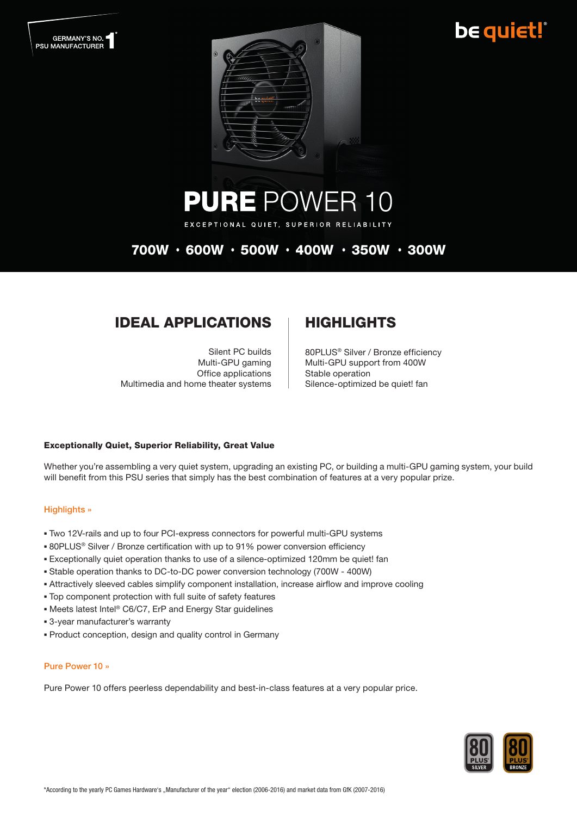### be quiet!



**PURE POWER 10** 

EXCEPTIONAL QUIET, SUPERIOR RELIABILITY

### 700W • 600W • 500W • 400W • 350W • 300W

### **IDEAL APPLICATIONS | HIGHLIGHTS**

Silent PC builds Multi-GPU gaming Office applications Multimedia and home theater systems

80PLUS® Silver / Bronze efficiency Multi-GPU support from 400W Stable operation Silence-optimized be quiet! fan

#### Exceptionally Quiet, Superior Reliability, Great Value

Whether you're assembling a very quiet system, upgrading an existing PC, or building a multi-GPU gaming system, your build will benefit from this PSU series that simply has the best combination of features at a very popular prize.

#### Highlights »

- Two 12V-rails and up to four PCI-express connectors for powerful multi-GPU systems
- 80PLUS<sup>®</sup> Silver / Bronze certification with up to 91% power conversion efficiency
- Exceptionally quiet operation thanks to use of a silence-optimized 120mm be quiet! fan
- Stable operation thanks to DC-to-DC power conversion technology (700W 400W)
- Attractively sleeved cables simplify component installation, increase airflow and improve cooling
- Top component protection with full suite of safety features
- Meets latest Intel® C6/C7, ErP and Energy Star guidelines
- 3-year manufacturer's warranty
- Product conception, design and quality control in Germany

#### Pure Power 10 »

Pure Power 10 offers peerless dependability and best-in-class features at a very popular price.

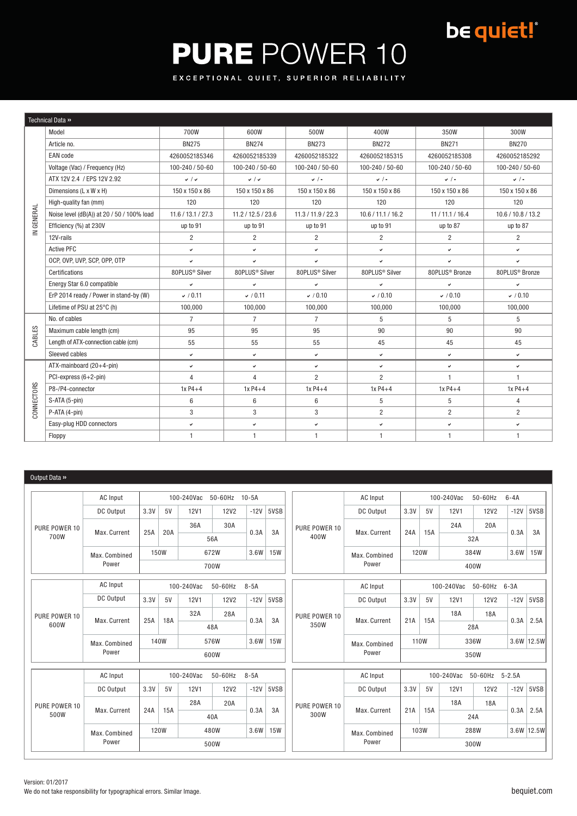### be quiet!

# **PURE POWER 10**

EXCEPTIONAL QUIET, SUPERIOR RELIABILITY

| Technical Data » |                                            |                            |                    |                            |                    |                            |                            |  |
|------------------|--------------------------------------------|----------------------------|--------------------|----------------------------|--------------------|----------------------------|----------------------------|--|
| IN GENERAL       | Model                                      | 700W                       | 600W               | 500W                       | 400W               | 350W                       | 300W                       |  |
|                  | Article no.                                | <b>BN275</b>               | <b>BN274</b>       | <b>BN273</b>               | <b>BN272</b>       | <b>BN271</b>               | <b>BN270</b>               |  |
|                  | <b>EAN</b> code                            | 4260052185346              | 4260052185339      | 4260052185322              | 4260052185315      | 4260052185308              | 4260052185292              |  |
|                  | Voltage (Vac) / Frequency (Hz)             | 100-240 / 50-60            | 100-240 / 50-60    | 100-240 / 50-60            | 100-240 / 50-60    | 100-240 / 50-60            | 100-240 / 50-60            |  |
|                  | ATX 12V 2.4 / EPS 12V 2.92                 | $\checkmark$               | $\checkmark$       | $\vee$ / -                 | $\checkmark$ / -   | $\checkmark$ / -           | $\checkmark$ / -           |  |
|                  | Dimensions (L x W x H)                     | 150 x 150 x 86             | 150 x 150 x 86     | 150 x 150 x 86             | 150 x 150 x 86     | 150 x 150 x 86             | 150 x 150 x 86             |  |
|                  | High-quality fan (mm)                      | 120                        | 120                | 120                        | 120                | 120                        | 120                        |  |
|                  | Noise level (dB(A)) at 20 / 50 / 100% load | 11.6 / 13.1 / 27.3         | 11.2 / 12.5 / 23.6 | 11.3 / 11.9 / 22.3         | 10.6 / 11.1 / 16.2 | 11/11.1/16.4               | 10.6 / 10.8 / 13.2         |  |
|                  | Efficiency (%) at 230V                     | up to 91                   | up to 91           | up to 91                   | up to 91           | up to 87                   | up to 87                   |  |
|                  | 12V-rails                                  | $\overline{c}$             | $\overline{2}$     | $\overline{2}$             | $\overline{c}$     | $\overline{2}$             | $\overline{2}$             |  |
|                  | <b>Active PFC</b>                          | v                          | $\checkmark$       | $\checkmark$               | $\checkmark$       | $\checkmark$               | v                          |  |
|                  | OCP, OVP, UVP, SCP, OPP, OTP               | ب                          | $\checkmark$       | $\checkmark$               | V                  | $\checkmark$               | v                          |  |
|                  | Certifications                             | 80PLUS <sup>®</sup> Silver | 80PLUS® Silver     | 80PLUS <sup>®</sup> Silver | 80PLUS® Silver     | 80PLUS <sup>®</sup> Bronze | 80PLUS <sup>®</sup> Bronze |  |
|                  | Energy Star 6.0 compatible                 | $\checkmark$               | v                  | $\checkmark$               | v                  | $\checkmark$               | ◡                          |  |
|                  | ErP 2014 ready / Power in stand-by (W)     | $\times$ / 0.11            | $\times$ / 0.11    | $\times$ / 0.10            | (0.10)             | (0.10)                     | (0.10)                     |  |
|                  | Lifetime of PSU at 25°C (h)                | 100,000                    | 100,000            | 100,000                    | 100,000            | 100,000                    | 100,000                    |  |
|                  | No. of cables                              | $\overline{7}$             | $\overline{7}$     | $\overline{7}$             | 5                  | 5                          | 5                          |  |
| CABLES           | Maximum cable length (cm)                  | 95                         | 95                 | 95                         | 90                 | 90                         | 90                         |  |
|                  | Length of ATX-connection cable (cm)        | 55                         | 55                 | 55                         | 45                 | 45                         | 45                         |  |
|                  | Sleeved cables                             | $\checkmark$               | $\checkmark$       | $\checkmark$               | $\checkmark$       | $\checkmark$               | v                          |  |
| CONNECTORS       | ATX-mainboard (20+4-pin)                   | $\checkmark$               | $\checkmark$       | $\checkmark$               | $\checkmark$       | $\checkmark$               | v                          |  |
|                  | PCI-express (6+2-pin)                      | 4                          | $\overline{4}$     | $\overline{2}$             | $\overline{2}$     | $\mathbf{1}$               | $\mathbf{1}$               |  |
|                  | P8-/P4-connector                           | $1xP4+4$                   | $1xP4+4$           | $1xP4+4$                   | $1xP4+4$           | $1xP4+4$                   | $1xP4+4$                   |  |
|                  | S-ATA (5-pin)                              | 6                          | 6                  | $6\phantom{1}$             | 5                  | 5                          | $\overline{4}$             |  |
|                  | P-ATA (4-pin)                              | 3                          | 3                  | 3                          | $\overline{2}$     | $\overline{2}$             | $\overline{2}$             |  |
|                  | Easy-plug HDD connectors                   | $\checkmark$               | $\checkmark$       | $\checkmark$               | $\checkmark$       | $\checkmark$               | v                          |  |
|                  | Floppy                                     | $\mathbf{1}$               | $\mathbf{1}$       | $\mathbf{1}$               | $\mathbf{1}$       | $\mathbf{1}$               | $\mathbf{1}$               |  |

### Output Data »

|               | AC Input                                      |                                    |                     | 100-240Vac  | 50-60Hz     | $10-5A$       |                                               |                                                 | AC Input     | 50-60Hz<br>100-240Vac<br>$6 - 4A$ |     |             |             |            |              |
|---------------|-----------------------------------------------|------------------------------------|---------------------|-------------|-------------|---------------|-----------------------------------------------|-------------------------------------------------|--------------|-----------------------------------|-----|-------------|-------------|------------|--------------|
|               | DC Output                                     | 3.3V                               | 5V                  | <b>12V1</b> | <b>12V2</b> | $-12V$        | 5VSB                                          |                                                 | DC Output    | 3.3V                              | 5V  | <b>12V1</b> | <b>12V2</b> | $-12V$     | 5VSB         |
| PURE POWER 10 | Max. Current                                  | 25A<br>20A                         |                     | 36A         | 30A         |               |                                               | PURE POWER 10                                   |              |                                   |     | 24A         | 20A         |            |              |
| 700W          |                                               |                                    |                     | 56A         |             | 0.3A          | 3A                                            | 400W                                            | Max. Current | 24A                               | 15A | 32A         |             | 0.3A       | 3A           |
|               | Max. Combined                                 |                                    | <b>150W</b><br>672W |             | 3.6W        | <b>15W</b>    |                                               | Max. Combined                                   | <b>120W</b>  |                                   |     | 384W        | 3.6W        | <b>15W</b> |              |
|               | Power                                         | 700W                               |                     |             |             |               |                                               | Power                                           | 400W         |                                   |     |             |             |            |              |
|               | AC Input                                      | 50-60Hz<br>100-240Vac<br>$8 - 5A$  |                     |             |             |               | 50-60Hz<br>AC Input<br>100-240Vac<br>$6 - 3A$ |                                                 |              |                                   |     |             |             |            |              |
|               | DC Output                                     | 3.3V                               | 5V                  | <b>12V1</b> | <b>12V2</b> | $-12V$        | 5VSB                                          |                                                 | DC Output    | 3.3V                              | 5V  | <b>12V1</b> | <b>12V2</b> | $-12V$     | 5VSB         |
| PURE POWER 10 |                                               | 25A                                |                     | 32A         | 28A         |               |                                               | PURE POWER 10                                   |              |                                   |     | 18A         | 18A         |            |              |
| 600W          | Max. Current                                  |                                    | 18A                 |             | 0.3A<br>48A |               | 3A                                            | 350W                                            | Max. Current | 21A                               | 15A | 28A         |             | 0.3A       | 2.5A         |
|               | Max. Combined<br>Power                        | 140W<br>3.6W<br><b>15W</b><br>576W |                     |             |             | Max. Combined | 110W<br>3.6W 12.5W<br>336W                    |                                                 |              |                                   |     |             |             |            |              |
|               |                                               | 600W                               |                     |             |             |               |                                               | Power                                           |              | 350W                              |     |             |             |            |              |
|               | 50-60Hz<br>AC Input<br>100-240Vac<br>$8 - 5A$ |                                    |                     |             |             |               |                                               | 100-240Vac<br>50-60Hz<br>AC Input<br>$5 - 2.5A$ |              |                                   |     |             |             |            |              |
|               | DC Output                                     | 3.3V                               | 5V                  | <b>12V1</b> | <b>12V2</b> | $-12V$        | 5VSB                                          |                                                 | DC Output    | 3.3V                              | 5V  | <b>12V1</b> | <b>12V2</b> | $-12V$     | 5VSB         |
| PURE POWER 10 | Max. Current                                  | 24A<br>15A                         |                     | 28A         | 20A         |               |                                               | PURE POWER 10<br>300W                           | Max. Current | 21A                               |     | 18A         | 18A         |            |              |
| 500W          |                                               |                                    |                     |             | 40A         | 0.3A          | 3A                                            |                                                 |              |                                   | 15A |             | 24A         |            | 0.3A<br>2.5A |
|               | Max. Combined                                 | <b>120W</b><br>480W<br>3.6W        |                     |             | <b>15W</b>  |               | Max. Combined                                 | 3.6W 12.5W<br>103W<br>288W                      |              |                                   |     |             |             |            |              |
|               | Power                                         | 500W                               |                     |             |             |               | Power                                         | 300W                                            |              |                                   |     |             |             |            |              |